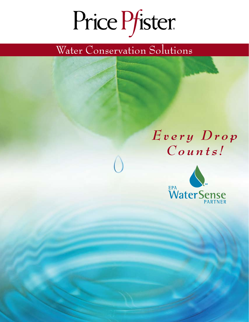# Price Pfister.

# Water Conservation Solutions

# *E v e r y D r o p C o u n t s !*

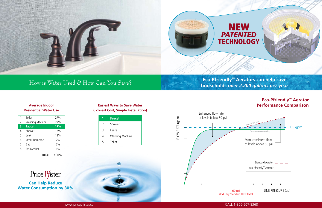#### **Average Indoor Residential Water Use**

|                | Toilet                 | 27%   |
|----------------|------------------------|-------|
| $\overline{2}$ | <b>Washing Machine</b> | 22%   |
| 3              | <b>Faucet</b>          | 17%   |
| $\overline{4}$ | Shower                 | 16%   |
| 5              | Leak                   | 13%   |
| 6              | <b>Other Domestic</b>  | 2%    |
| 7              | Bath                   | 2%    |
| 8              | Dishwasher             | $1\%$ |
|                | <b>TOTAL</b>           | 100%  |



#### **Easiest Ways to Save Water (Lowest Cost, Simple Installation)**

**Can Help Reduce Water Consumption by 30%**



#### **Eco-Pfriendly™ Aerator Performance Comparison**



## How is Water Used & How Can You Save?

#### **Eco-Pfriendly™ Aerators can help save households** *over 2,200 gallons per year*